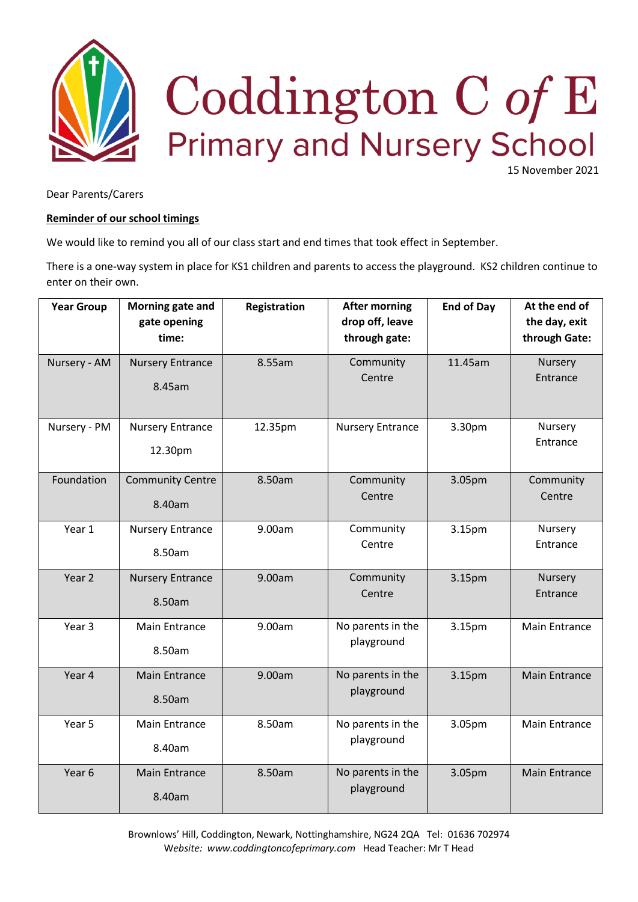

15 November 2021

Dear Parents/Carers

## **Reminder of our school timings**

We would like to remind you all of our class start and end times that took effect in September.

There is a one-way system in place for KS1 children and parents to access the playground. KS2 children continue to enter on their own.

| <b>Year Group</b> | Morning gate and<br>gate opening<br>time: | Registration | <b>After morning</b><br>drop off, leave<br>through gate: | <b>End of Day</b> | At the end of<br>the day, exit<br>through Gate: |
|-------------------|-------------------------------------------|--------------|----------------------------------------------------------|-------------------|-------------------------------------------------|
| Nursery - AM      | <b>Nursery Entrance</b><br>8.45am         | 8.55am       | Community<br>Centre                                      | 11.45am           | Nursery<br>Entrance                             |
| Nursery - PM      | <b>Nursery Entrance</b><br>12.30pm        | 12.35pm      | <b>Nursery Entrance</b>                                  | 3.30pm            | Nursery<br>Entrance                             |
| Foundation        | <b>Community Centre</b><br>8.40am         | 8.50am       | Community<br>Centre                                      | 3.05pm            | Community<br>Centre                             |
| Year 1            | <b>Nursery Entrance</b><br>8.50am         | 9.00am       | Community<br>Centre                                      | 3.15pm            | Nursery<br>Entrance                             |
| Year 2            | <b>Nursery Entrance</b><br>8.50am         | 9.00am       | Community<br>Centre                                      | 3.15pm            | Nursery<br>Entrance                             |
| Year 3            | <b>Main Entrance</b><br>8.50am            | 9.00am       | No parents in the<br>playground                          | 3.15pm            | Main Entrance                                   |
| Year 4            | <b>Main Entrance</b><br>8.50am            | 9.00am       | No parents in the<br>playground                          | 3.15pm            | <b>Main Entrance</b>                            |
| Year 5            | <b>Main Entrance</b><br>8.40am            | 8.50am       | No parents in the<br>playground                          | 3.05pm            | Main Entrance                                   |
| Year 6            | <b>Main Entrance</b><br>8.40am            | 8.50am       | No parents in the<br>playground                          | 3.05pm            | <b>Main Entrance</b>                            |

Brownlows' Hill, Coddington, Newark, Nottinghamshire, NG24 2QA Tel: 01636 702974 W*ebsite: www.coddingtoncofeprimary.com* Head Teacher: Mr T Head